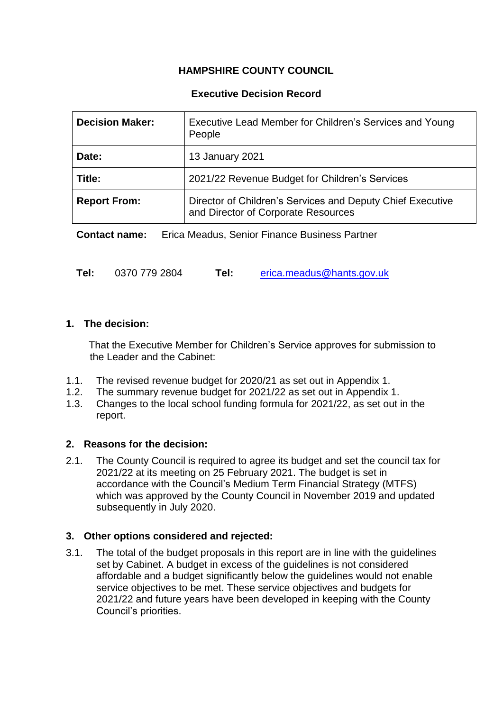# **HAMPSHIRE COUNTY COUNCIL**

### **Executive Decision Record**

| <b>Decision Maker:</b> | Executive Lead Member for Children's Services and Young<br>People                                 |
|------------------------|---------------------------------------------------------------------------------------------------|
| Date:                  | 13 January 2021                                                                                   |
| Title:                 | 2021/22 Revenue Budget for Children's Services                                                    |
| <b>Report From:</b>    | Director of Children's Services and Deputy Chief Executive<br>and Director of Corporate Resources |

**Contact name:** Erica Meadus, Senior Finance Business Partner

| Tel:<br>0370 779 2804<br>Tel: | erica.meadus@hants.gov.uk |
|-------------------------------|---------------------------|
|-------------------------------|---------------------------|

### **1. The decision:**

 That the Executive Member for Children's Service approves for submission to the Leader and the Cabinet:

- 1.1. The revised revenue budget for 2020/21 as set out in Appendix 1.
- 1.2. The summary revenue budget for 2021/22 as set out in Appendix 1.
- 1.3. Changes to the local school funding formula for 2021/22, as set out in the report.

#### **2. Reasons for the decision:**

2.1. The County Council is required to agree its budget and set the council tax for 2021/22 at its meeting on 25 February 2021. The budget is set in accordance with the Council's Medium Term Financial Strategy (MTFS) which was approved by the County Council in November 2019 and updated subsequently in July 2020.

## **3. Other options considered and rejected:**

3.1. The total of the budget proposals in this report are in line with the guidelines set by Cabinet. A budget in excess of the guidelines is not considered affordable and a budget significantly below the guidelines would not enable service objectives to be met. These service objectives and budgets for 2021/22 and future years have been developed in keeping with the County Council's priorities.